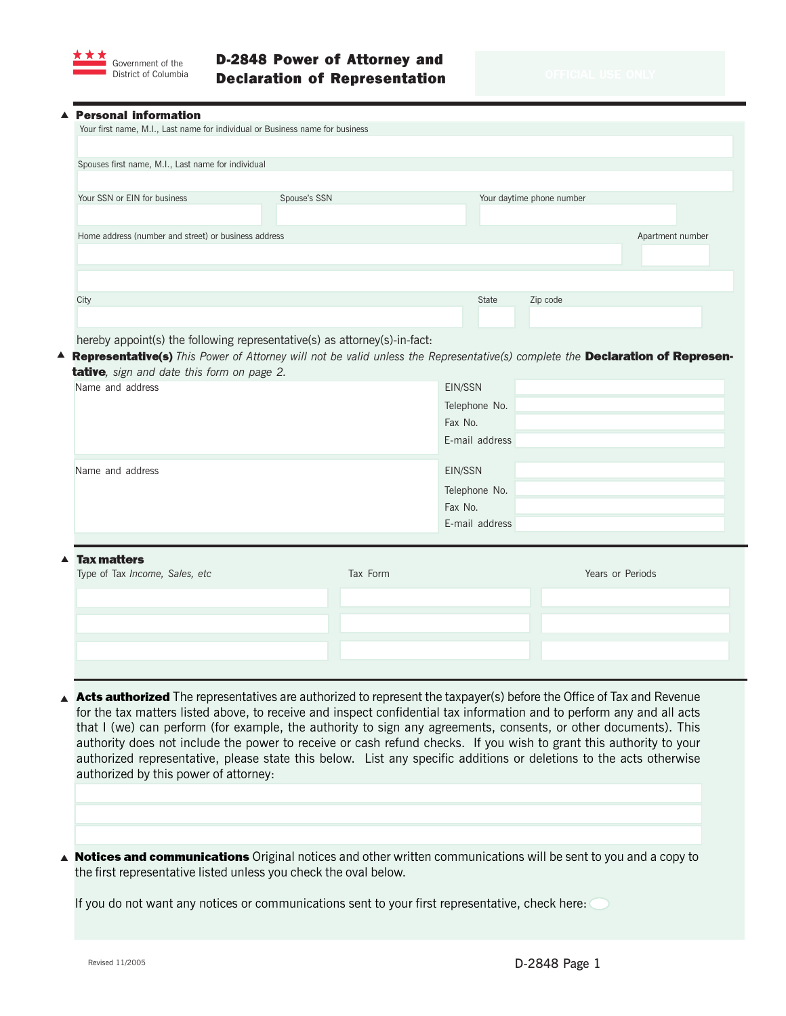

▲

## D-2848 Power of Attorney and Declaration of Representation

| <b>Personal information</b>                                                                                                                                                                              |                  |                          |                           |                  |
|----------------------------------------------------------------------------------------------------------------------------------------------------------------------------------------------------------|------------------|--------------------------|---------------------------|------------------|
| Your first name, M.I., Last name for individual or Business name for business                                                                                                                            |                  |                          |                           |                  |
| Spouses first name, M.I., Last name for individual                                                                                                                                                       |                  |                          |                           |                  |
|                                                                                                                                                                                                          |                  |                          |                           |                  |
| Your SSN or EIN for business                                                                                                                                                                             | Spouse's SSN     |                          | Your daytime phone number |                  |
|                                                                                                                                                                                                          |                  |                          |                           |                  |
| Home address (number and street) or business address                                                                                                                                                     | Apartment number |                          |                           |                  |
|                                                                                                                                                                                                          |                  |                          |                           |                  |
|                                                                                                                                                                                                          |                  |                          |                           |                  |
| City                                                                                                                                                                                                     |                  | State                    | Zip code                  |                  |
|                                                                                                                                                                                                          |                  |                          |                           |                  |
| hereby appoint(s) the following representative(s) as attorney(s)-in-fact:                                                                                                                                |                  |                          |                           |                  |
| <b>A Representative(s)</b> This Power of Attorney will not be valid unless the Representative(s) complete the Declaration of Represen-<br>tative, sign and date this form on page 2.<br>Name and address |                  |                          |                           |                  |
|                                                                                                                                                                                                          |                  | EIN/SSN                  |                           |                  |
|                                                                                                                                                                                                          |                  | Telephone No.<br>Fax No. |                           |                  |
|                                                                                                                                                                                                          |                  | E-mail address           |                           |                  |
| Name and address                                                                                                                                                                                         |                  | EIN/SSN                  |                           |                  |
|                                                                                                                                                                                                          |                  | Telephone No.            |                           |                  |
|                                                                                                                                                                                                          |                  | Fax No.                  |                           |                  |
|                                                                                                                                                                                                          |                  | E-mail address           |                           |                  |
|                                                                                                                                                                                                          |                  |                          |                           |                  |
| <b>Tax matters</b><br>Type of Tax Income, Sales, etc                                                                                                                                                     | Tax Form         |                          |                           | Years or Periods |

- ▲ Acts authorized The representatives are authorized to represent the taxpayer(s) before the Office of Tax and Revenue for the tax matters listed above, to receive and inspect confidential tax information and to perform any and all acts that I (we) can perform (for example, the authority to sign any agreements, consents, or other documents). This authority does not include the power to receive or cash refund checks. If you wish to grant this authority to your authorized representative, please state this below. List any specific additions or deletions to the acts otherwise authorized by this power of attorney:
- ▲ Notices and communications Original notices and other written communications will be sent to you and a copy to the first representative listed unless you check the oval below.

If you do not want any notices or communications sent to your first representative, check here: